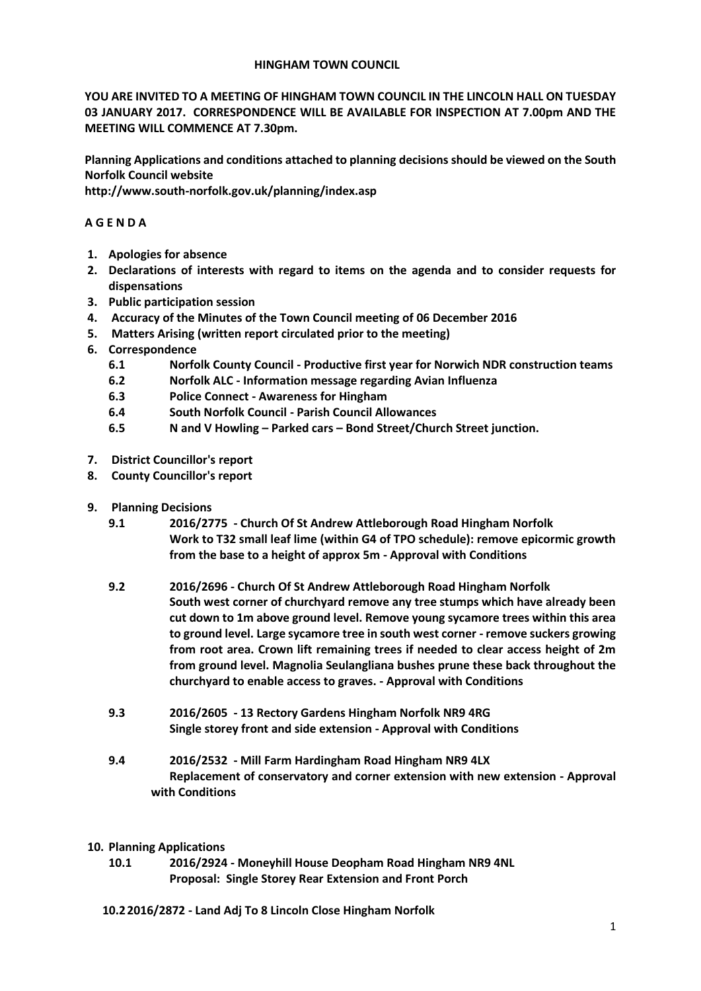### **HINGHAM TOWN COUNCIL**

**YOU ARE INVITED TO A MEETING OF HINGHAM TOWN COUNCIL IN THE LINCOLN HALL ON TUESDAY 03 JANUARY 2017. CORRESPONDENCE WILL BE AVAILABLE FOR INSPECTION AT 7.00pm AND THE MEETING WILL COMMENCE AT 7.30pm.** 

**Planning Applications and conditions attached to planning decisions should be viewed on the South Norfolk Council website** 

**http://www.south-norfolk.gov.uk/planning/index.asp**

## **A G E N D A**

- **1. Apologies for absence**
- **2. Declarations of interests with regard to items on the agenda and to consider requests for dispensations**
- **3. Public participation session**
- **4. Accuracy of the Minutes of the Town Council meeting of 06 December 2016**
- **5. Matters Arising (written report circulated prior to the meeting)**
- **6. Correspondence** 
	- **6.1 Norfolk County Council - Productive first year for Norwich NDR construction teams**
	- **6.2 Norfolk ALC - Information message regarding Avian Influenza**
	- **6.3 Police Connect - Awareness for Hingham**
	- **6.4 South Norfolk Council - Parish Council Allowances**
	- **6.5 N and V Howling – Parked cars – Bond Street/Church Street junction.**
- **7. District Councillor's report**
- **8. County Councillor's report**
- **9. Planning Decisions**
	- **9.1 2016/2775 - Church Of St Andrew Attleborough Road Hingham Norfolk Work to T32 small leaf lime (within G4 of TPO schedule): remove epicormic growth from the base to a height of approx 5m - Approval with Conditions**
	- **9.2 2016/2696 - Church Of St Andrew Attleborough Road Hingham Norfolk South west corner of churchyard remove any tree stumps which have already been cut down to 1m above ground level. Remove young sycamore trees within this area to ground level. Large sycamore tree in south west corner - remove suckers growing from root area. Crown lift remaining trees if needed to clear access height of 2m from ground level. Magnolia Seulangliana bushes prune these back throughout the churchyard to enable access to graves. - Approval with Conditions**
	- **9.3 2016/2605 - 13 Rectory Gardens Hingham Norfolk NR9 4RG Single storey front and side extension - Approval with Conditions**
	- **9.4 2016/2532 - Mill Farm Hardingham Road Hingham NR9 4LX Replacement of conservatory and corner extension with new extension - Approval with Conditions**
- **10. Planning Applications**
	- **10.1 2016/2924 - Moneyhill House Deopham Road Hingham NR9 4NL Proposal: Single Storey Rear Extension and Front Porch**
	- **10.22016/2872 - Land Adj To 8 Lincoln Close Hingham Norfolk**